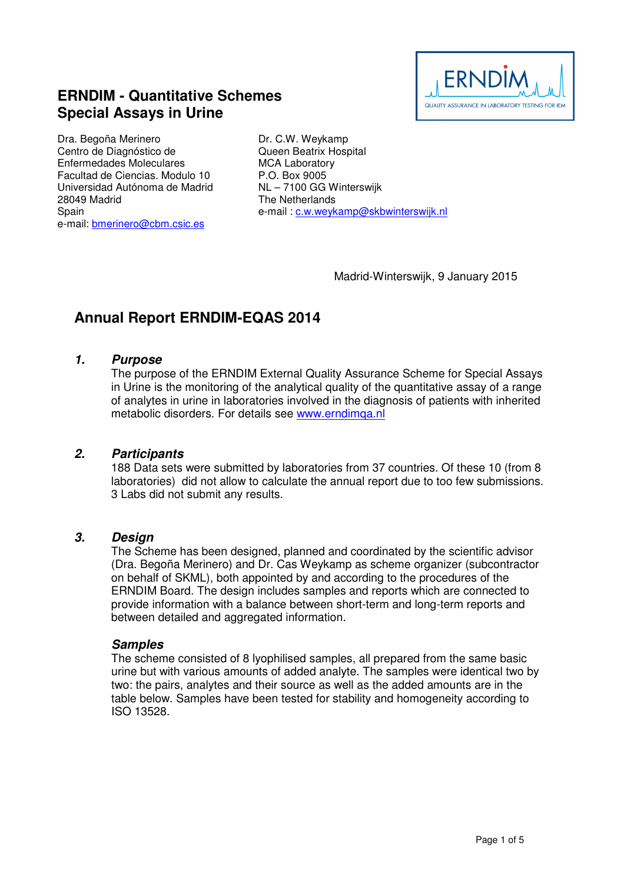

## **ERNDIM - Quantitative Schemes Special Assays in Urine**

Dra. Begoña Merinero Centro de Diagnóstico de Enfermedades Moleculares Facultad de Ciencias. Modulo 10 Universidad Autónoma de Madrid 28049 Madrid **Spain** e-mail: bmerinero@cbm.csic.es

Dr. C.W. Weykamp Queen Beatrix Hospital MCA Laboratory P.O. Box 9005 NL – 7100 GG Winterswijk The Netherlands e-mail : c.w.weykamp@skbwinterswijk.nl

Madrid-Winterswijk, 9 January 2015

# **Annual Report ERNDIM-EQAS 2014**

#### **1. Purpose**

The purpose of the ERNDIM External Quality Assurance Scheme for Special Assays in Urine is the monitoring of the analytical quality of the quantitative assay of a range of analytes in urine in laboratories involved in the diagnosis of patients with inherited metabolic disorders. For details see www.erndimqa.nl

#### **2. Participants**

188 Data sets were submitted by laboratories from 37 countries. Of these 10 (from 8 laboratories) did not allow to calculate the annual report due to too few submissions. 3 Labs did not submit any results.

#### **3. Design**

The Scheme has been designed, planned and coordinated by the scientific advisor (Dra. Begoña Merinero) and Dr. Cas Weykamp as scheme organizer (subcontractor on behalf of SKML), both appointed by and according to the procedures of the ERNDIM Board. The design includes samples and reports which are connected to provide information with a balance between short-term and long-term reports and between detailed and aggregated information.

#### **Samples**

The scheme consisted of 8 lyophilised samples, all prepared from the same basic urine but with various amounts of added analyte. The samples were identical two by two: the pairs, analytes and their source as well as the added amounts are in the table below. Samples have been tested for stability and homogeneity according to ISO 13528.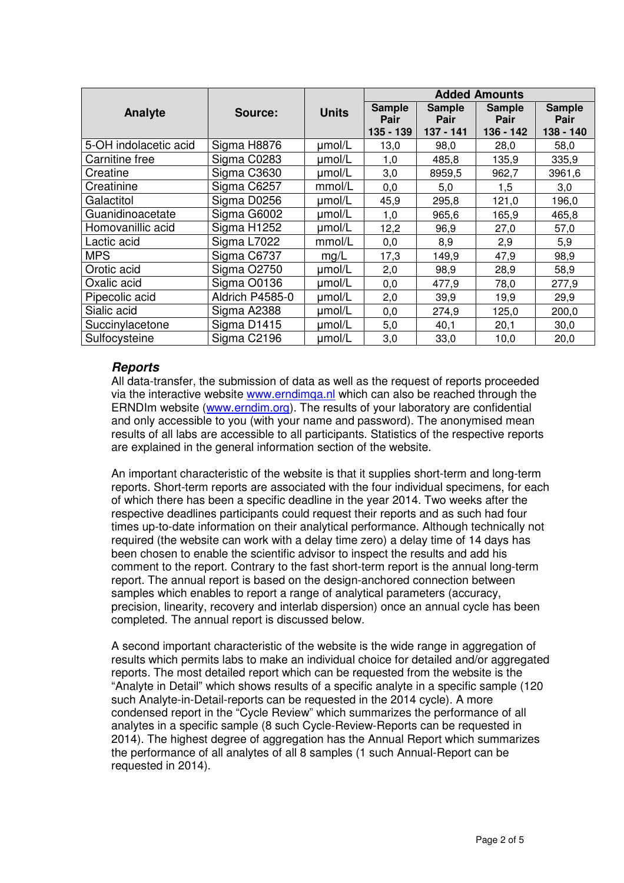|                       | Source:         | <b>Units</b> | <b>Added Amounts</b>  |                       |                       |                       |
|-----------------------|-----------------|--------------|-----------------------|-----------------------|-----------------------|-----------------------|
| Analyte               |                 |              | <b>Sample</b><br>Pair | <b>Sample</b><br>Pair | <b>Sample</b><br>Pair | <b>Sample</b><br>Pair |
|                       |                 |              | 135 - 139             | $137 - 141$           | 136 - 142             | 138 - 140             |
| 5-OH indolacetic acid | Sigma H8876     | umol/L       | 13,0                  | 98,0                  | 28,0                  | 58,0                  |
| Carnitine free        | Sigma C0283     | umol/L       | 1,0                   | 485,8                 | 135,9                 | 335,9                 |
| Creatine              | Sigma C3630     | umol/L       | 3,0                   | 8959,5                | 962,7                 | 3961,6                |
| Creatinine            | Sigma C6257     | mmol/L       | 0,0                   | 5,0                   | 1,5                   | 3,0                   |
| Galactitol            | Sigma D0256     | umol/L       | 45,9                  | 295,8                 | 121,0                 | 196,0                 |
| Guanidinoacetate      | Sigma G6002     | umol/L       | 1,0                   | 965,6                 | 165,9                 | 465,8                 |
| Homovanillic acid     | Sigma H1252     | umol/L       | 12,2                  | 96,9                  | 27,0                  | 57,0                  |
| Lactic acid           | Sigma L7022     | mmol/L       | 0,0                   | 8,9                   | 2,9                   | 5,9                   |
| <b>MPS</b>            | Sigma C6737     | mg/L         | 17,3                  | 149,9                 | 47,9                  | 98,9                  |
| Orotic acid           | Sigma O2750     | umol/L       | 2,0                   | 98,9                  | 28,9                  | 58,9                  |
| Oxalic acid           | Sigma O0136     | umol/L       | 0,0                   | 477,9                 | 78,0                  | 277,9                 |
| Pipecolic acid        | Aldrich P4585-0 | umol/L       | 2,0                   | 39,9                  | 19,9                  | 29,9                  |
| Sialic acid           | Sigma A2388     | umol/L       | 0,0                   | 274,9                 | 125,0                 | 200,0                 |
| Succinylacetone       | Sigma D1415     | umol/L       | 5,0                   | 40,1                  | 20,1                  | 30,0                  |
| Sulfocysteine         | Sigma C2196     | umol/L       | 3,0                   | 33,0                  | 10,0                  | 20,0                  |

## **Reports**

All data-transfer, the submission of data as well as the request of reports proceeded via the interactive website www.erndimqa.nl which can also be reached through the ERNDIm website (www.erndim.org). The results of your laboratory are confidential and only accessible to you (with your name and password). The anonymised mean results of all labs are accessible to all participants. Statistics of the respective reports are explained in the general information section of the website.

An important characteristic of the website is that it supplies short-term and long-term reports. Short-term reports are associated with the four individual specimens, for each of which there has been a specific deadline in the year 2014. Two weeks after the respective deadlines participants could request their reports and as such had four times up-to-date information on their analytical performance. Although technically not required (the website can work with a delay time zero) a delay time of 14 days has been chosen to enable the scientific advisor to inspect the results and add his comment to the report. Contrary to the fast short-term report is the annual long-term report. The annual report is based on the design-anchored connection between samples which enables to report a range of analytical parameters (accuracy, precision, linearity, recovery and interlab dispersion) once an annual cycle has been completed. The annual report is discussed below.

A second important characteristic of the website is the wide range in aggregation of results which permits labs to make an individual choice for detailed and/or aggregated reports. The most detailed report which can be requested from the website is the "Analyte in Detail" which shows results of a specific analyte in a specific sample (120 such Analyte-in-Detail-reports can be requested in the 2014 cycle). A more condensed report in the "Cycle Review" which summarizes the performance of all analytes in a specific sample (8 such Cycle-Review-Reports can be requested in 2014). The highest degree of aggregation has the Annual Report which summarizes the performance of all analytes of all 8 samples (1 such Annual-Report can be requested in 2014).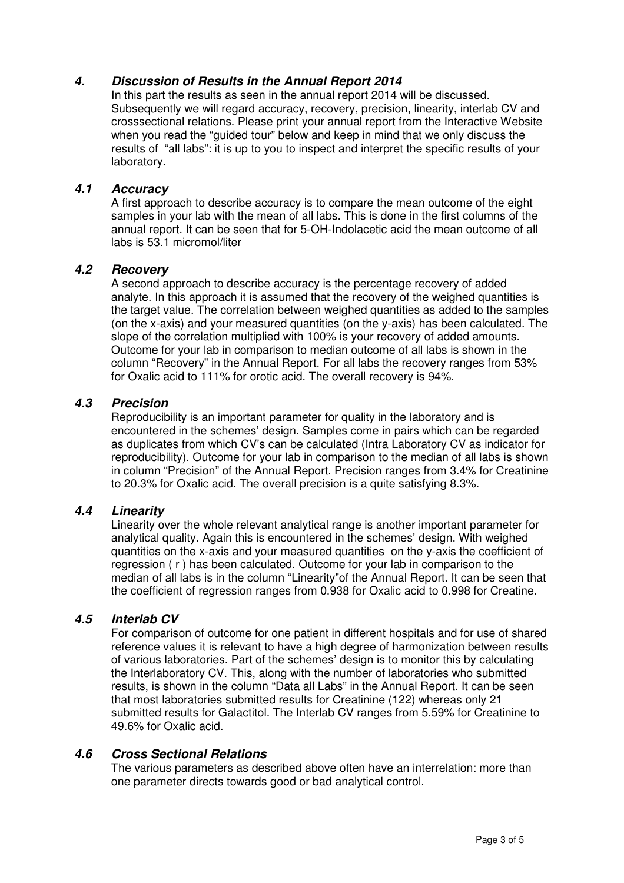## **4. Discussion of Results in the Annual Report 2014**

In this part the results as seen in the annual report 2014 will be discussed. Subsequently we will regard accuracy, recovery, precision, linearity, interlab CV and crosssectional relations. Please print your annual report from the Interactive Website when you read the "guided tour" below and keep in mind that we only discuss the results of "all labs": it is up to you to inspect and interpret the specific results of your laboratory.

#### **4.1 Accuracy**

A first approach to describe accuracy is to compare the mean outcome of the eight samples in your lab with the mean of all labs. This is done in the first columns of the annual report. It can be seen that for 5-OH-Indolacetic acid the mean outcome of all labs is 53.1 micromol/liter

#### **4.2 Recovery**

A second approach to describe accuracy is the percentage recovery of added analyte. In this approach it is assumed that the recovery of the weighed quantities is the target value. The correlation between weighed quantities as added to the samples (on the x-axis) and your measured quantities (on the y-axis) has been calculated. The slope of the correlation multiplied with 100% is your recovery of added amounts. Outcome for your lab in comparison to median outcome of all labs is shown in the column "Recovery" in the Annual Report. For all labs the recovery ranges from 53% for Oxalic acid to 111% for orotic acid. The overall recovery is 94%.

#### **4.3 Precision**

Reproducibility is an important parameter for quality in the laboratory and is encountered in the schemes' design. Samples come in pairs which can be regarded as duplicates from which CV's can be calculated (Intra Laboratory CV as indicator for reproducibility). Outcome for your lab in comparison to the median of all labs is shown in column "Precision" of the Annual Report. Precision ranges from 3.4% for Creatinine to 20.3% for Oxalic acid. The overall precision is a quite satisfying 8.3%.

#### **4.4 Linearity**

Linearity over the whole relevant analytical range is another important parameter for analytical quality. Again this is encountered in the schemes' design. With weighed quantities on the x-axis and your measured quantities on the y-axis the coefficient of regression ( r ) has been calculated. Outcome for your lab in comparison to the median of all labs is in the column "Linearity"of the Annual Report. It can be seen that the coefficient of regression ranges from 0.938 for Oxalic acid to 0.998 for Creatine.

#### **4.5 Interlab CV**

For comparison of outcome for one patient in different hospitals and for use of shared reference values it is relevant to have a high degree of harmonization between results of various laboratories. Part of the schemes' design is to monitor this by calculating the Interlaboratory CV. This, along with the number of laboratories who submitted results, is shown in the column "Data all Labs" in the Annual Report. It can be seen that most laboratories submitted results for Creatinine (122) whereas only 21 submitted results for Galactitol. The Interlab CV ranges from 5.59% for Creatinine to 49.6% for Oxalic acid.

#### **4.6 Cross Sectional Relations**

The various parameters as described above often have an interrelation: more than one parameter directs towards good or bad analytical control.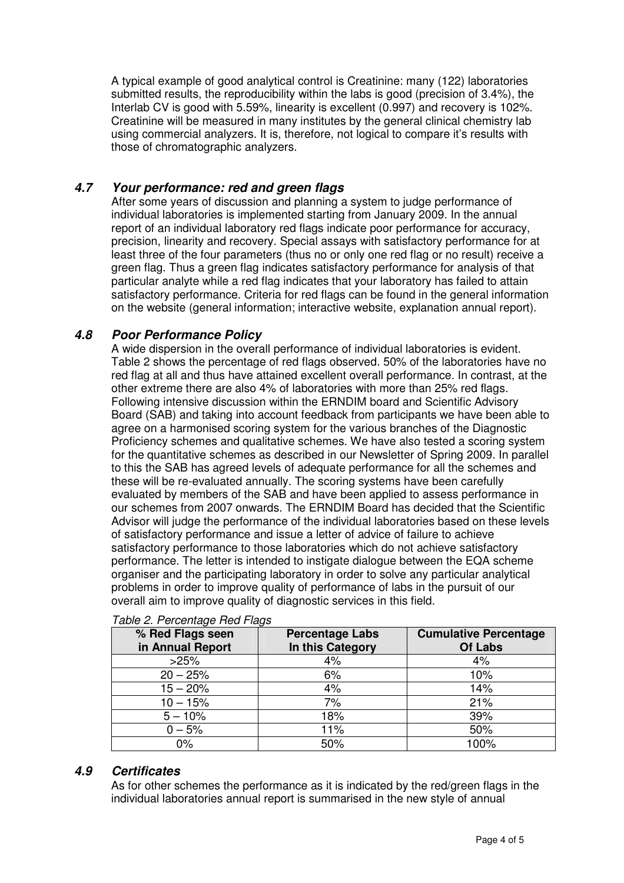A typical example of good analytical control is Creatinine: many (122) laboratories submitted results, the reproducibility within the labs is good (precision of 3.4%), the Interlab CV is good with 5.59%, linearity is excellent (0.997) and recovery is 102%. Creatinine will be measured in many institutes by the general clinical chemistry lab using commercial analyzers. It is, therefore, not logical to compare it's results with those of chromatographic analyzers.

## **4.7 Your performance: red and green flags**

After some years of discussion and planning a system to judge performance of individual laboratories is implemented starting from January 2009. In the annual report of an individual laboratory red flags indicate poor performance for accuracy, precision, linearity and recovery. Special assays with satisfactory performance for at least three of the four parameters (thus no or only one red flag or no result) receive a green flag. Thus a green flag indicates satisfactory performance for analysis of that particular analyte while a red flag indicates that your laboratory has failed to attain satisfactory performance. Criteria for red flags can be found in the general information on the website (general information; interactive website, explanation annual report).

#### **4.8 Poor Performance Policy**

A wide dispersion in the overall performance of individual laboratories is evident. Table 2 shows the percentage of red flags observed. 50% of the laboratories have no red flag at all and thus have attained excellent overall performance. In contrast, at the other extreme there are also 4% of laboratories with more than 25% red flags. Following intensive discussion within the ERNDIM board and Scientific Advisory Board (SAB) and taking into account feedback from participants we have been able to agree on a harmonised scoring system for the various branches of the Diagnostic Proficiency schemes and qualitative schemes. We have also tested a scoring system for the quantitative schemes as described in our Newsletter of Spring 2009. In parallel to this the SAB has agreed levels of adequate performance for all the schemes and these will be re-evaluated annually. The scoring systems have been carefully evaluated by members of the SAB and have been applied to assess performance in our schemes from 2007 onwards. The ERNDIM Board has decided that the Scientific Advisor will judge the performance of the individual laboratories based on these levels of satisfactory performance and issue a letter of advice of failure to achieve satisfactory performance to those laboratories which do not achieve satisfactory performance. The letter is intended to instigate dialogue between the EQA scheme organiser and the participating laboratory in order to solve any particular analytical problems in order to improve quality of performance of labs in the pursuit of our overall aim to improve quality of diagnostic services in this field.

| % Red Flags seen<br>in Annual Report | <b>Percentage Labs</b><br>In this Category | <b>Cumulative Percentage</b><br>Of Labs |
|--------------------------------------|--------------------------------------------|-----------------------------------------|
| >25%                                 | 4%                                         | 4%                                      |
| $20 - 25%$                           | 6%                                         | 10%                                     |
| $15 - 20%$                           | 4%                                         | 14%                                     |
| $10 - 15%$                           | 7%                                         | 21%                                     |
| $5 - 10%$                            | 18%                                        | 39%                                     |
| $0 - 5%$                             | 11%                                        | 50%                                     |
| 0%                                   | 50%                                        | 100%                                    |

#### Table 2. Percentage Red Flags

## **4.9 Certificates**

As for other schemes the performance as it is indicated by the red/green flags in the individual laboratories annual report is summarised in the new style of annual